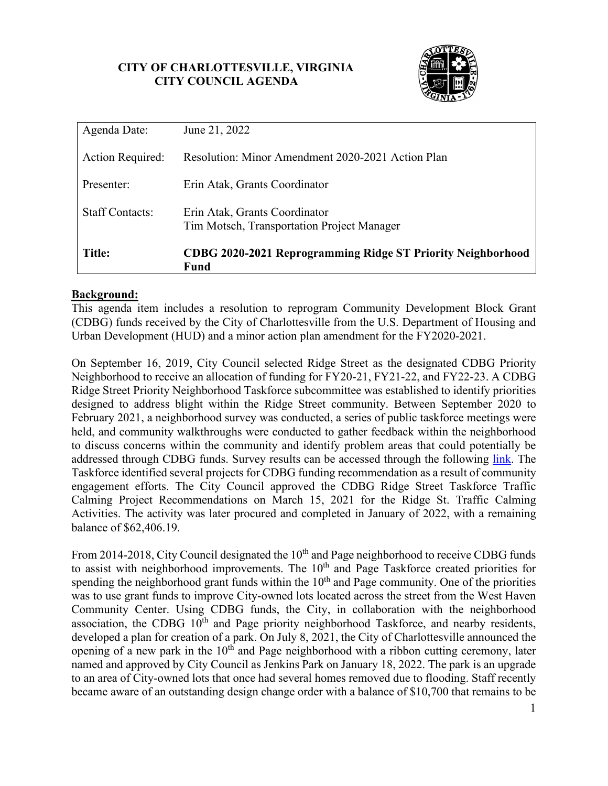# **CITY OF CHARLOTTESVILLE, VIRGINIA CITY COUNCIL AGENDA**



| Agenda Date:           | June 21, 2022                                                               |
|------------------------|-----------------------------------------------------------------------------|
| Action Required:       | Resolution: Minor Amendment 2020-2021 Action Plan                           |
| Presenter:             | Erin Atak, Grants Coordinator                                               |
| <b>Staff Contacts:</b> | Erin Atak, Grants Coordinator<br>Tim Motsch, Transportation Project Manager |
| <b>Title:</b>          | CDBG 2020-2021 Reprogramming Ridge ST Priority Neighborhood<br>Fund         |

## **Background:**

This agenda item includes a resolution to reprogram Community Development Block Grant (CDBG) funds received by the City of Charlottesville from the U.S. Department of Housing and Urban Development (HUD) and a minor action plan amendment for the FY2020-2021.

On September 16, 2019, City Council selected Ridge Street as the designated CDBG Priority Neighborhood to receive an allocation of funding for FY20-21, FY21-22, and FY22-23. A CDBG Ridge Street Priority Neighborhood Taskforce subcommittee was established to identify priorities designed to address blight within the Ridge Street community. Between September 2020 to February 2021, a neighborhood survey was conducted, a series of public taskforce meetings were held, and community walkthroughs were conducted to gather feedback within the neighborhood to discuss concerns within the community and identify problem areas that could potentially be addressed through CDBG funds. Survey results can be accessed through the following [link.](https://charlottesville-my.sharepoint.com/:o:/g/personal/atake_charlottesville_gov/EkovRp3XFnhMnteWl35-CXUB65RKs7SlsHowWJAlOoB3yw?e=Hpp8ub) The Taskforce identified several projects for CDBG funding recommendation as a result of community engagement efforts. The City Council approved the CDBG Ridge Street Taskforce Traffic Calming Project Recommendations on March 15, 2021 for the Ridge St. Traffic Calming Activities. The activity was later procured and completed in January of 2022, with a remaining balance of \$62,406.19.

From 2014-2018, City Council designated the 10<sup>th</sup> and Page neighborhood to receive CDBG funds to assist with neighborhood improvements. The 10<sup>th</sup> and Page Taskforce created priorities for spending the neighborhood grant funds within the  $10<sup>th</sup>$  and Page community. One of the priorities was to use grant funds to improve City-owned lots located across the street from the West Haven Community Center. Using CDBG funds, the City, in collaboration with the neighborhood association, the CDBG  $10<sup>th</sup>$  and Page priority neighborhood Taskforce, and nearby residents, developed a plan for creation of a park. On July 8, 2021, the City of Charlottesville announced the opening of a new park in the  $10<sup>th</sup>$  and Page neighborhood with a ribbon cutting ceremony, later named and approved by City Council as Jenkins Park on January 18, 2022. The park is an upgrade to an area of City-owned lots that once had several homes removed due to flooding. Staff recently became aware of an outstanding design change order with a balance of \$10,700 that remains to be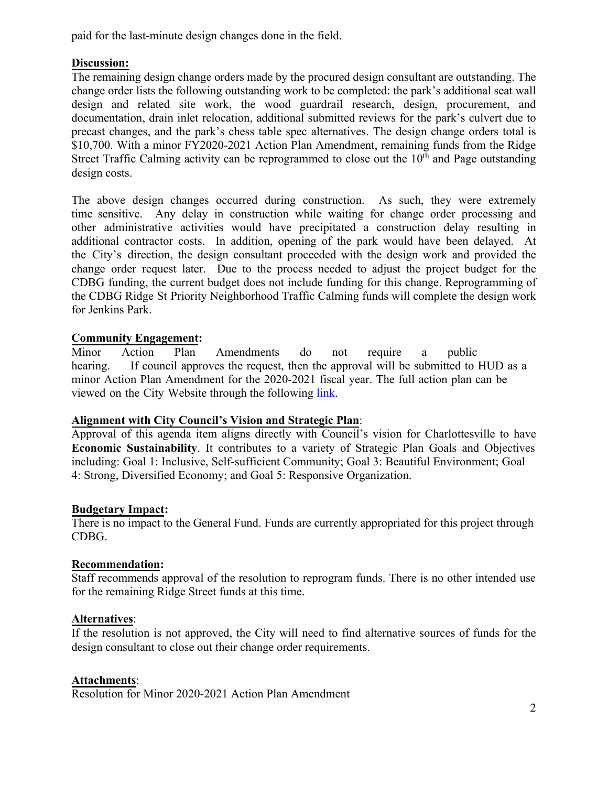paid for the last-minute design changes done in the field.

## **Discussion:**

The remaining design change orders made by the procured design consultant are outstanding. The change order lists the following outstanding work to be completed: the park's additional seat wall design and related site work, the wood guardrail research, design, procurement, and documentation, drain inlet relocation, additional submitted reviews for the park's culvert due to precast changes, and the park's chess table spec alternatives. The design change orders total is \$10,700. With a minor FY2020-2021 Action Plan Amendment, remaining funds from the Ridge Street Traffic Calming activity can be reprogrammed to close out the  $10<sup>th</sup>$  and Page outstanding design costs.

The above design changes occurred during construction. As such, they were extremely time sensitive. Any delay in construction while waiting for change order processing and other administrative activities would have precipitated a construction delay resulting in additional contractor costs. In addition, opening of the park would have been delayed. At the City's direction, the design consultant proceeded with the design work and provided the change order request later. Due to the process needed to adjust the project budget for the CDBG funding, the current budget does not include funding for this change. Reprogramming of the CDBG Ridge St Priority Neighborhood Traffic Calming funds will complete the design work for Jenkins Park.

## **Community Engagement:**

Minor Action Plan Amendments do not require a public hearing. If council approves the request, then the approval will be submitted to HUD as a minor Action Plan Amendment for the 2020-2021 fiscal year. The full action plan can be viewed on the City Website through the following [link.](https://www.charlottesville.gov/DocumentCenter/View/4612/FY-2020-2021-Final-Action-Plan-) 

## **Alignment with City Council's Vision and Strategic Plan**:

Approval of this agenda item aligns directly with Council's vision for Charlottesville to have **Economic Sustainability**. It contributes to a variety of Strategic Plan Goals and Objectives including: Goal 1: Inclusive, Self-sufficient Community; Goal 3: Beautiful Environment; Goal 4: Strong, Diversified Economy; and Goal 5: Responsive Organization.

## **Budgetary Impact:**

There is no impact to the General Fund. Funds are currently appropriated for this project through CDBG.

## **Recommendation:**

Staff recommends approval of the resolution to reprogram funds. There is no other intended use for the remaining Ridge Street funds at this time.

## **Alternatives**:

If the resolution is not approved, the City will need to find alternative sources of funds for the design consultant to close out their change order requirements.

## **Attachments**:

Resolution for Minor 2020-2021 Action Plan Amendment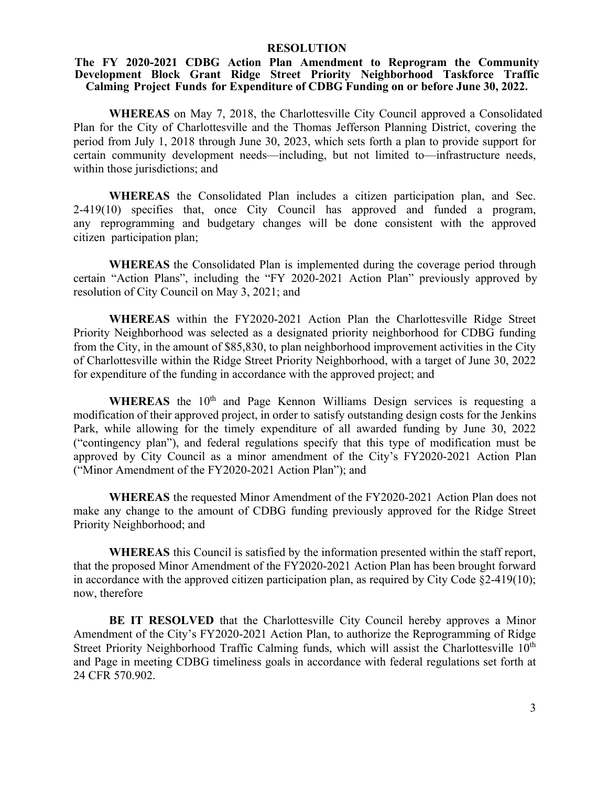#### **RESOLUTION**

#### **The FY 2020-2021 CDBG Action Plan Amendment to Reprogram the Community Development Block Grant Ridge Street Priority Neighborhood Taskforce Traffic Calming Project Funds for Expenditure of CDBG Funding on or before June 30, 2022.**

**WHEREAS** on May 7, 2018, the Charlottesville City Council approved a Consolidated Plan for the City of Charlottesville and the Thomas Jefferson Planning District, covering the period from July 1, 2018 through June 30, 2023, which sets forth a plan to provide support for certain community development needs—including, but not limited to—infrastructure needs, within those jurisdictions; and

**WHEREAS** the Consolidated Plan includes a citizen participation plan, and Sec. 2-419(10) specifies that, once City Council has approved and funded a program, any reprogramming and budgetary changes will be done consistent with the approved citizen participation plan;

**WHEREAS** the Consolidated Plan is implemented during the coverage period through certain "Action Plans", including the "FY 2020-2021 Action Plan" previously approved by resolution of City Council on May 3, 2021; and

**WHEREAS** within the FY2020-2021 Action Plan the Charlottesville Ridge Street Priority Neighborhood was selected as a designated priority neighborhood for CDBG funding from the City, in the amount of \$85,830, to plan neighborhood improvement activities in the City of Charlottesville within the Ridge Street Priority Neighborhood, with a target of June 30, 2022 for expenditure of the funding in accordance with the approved project; and

WHEREAS the 10<sup>th</sup> and Page Kennon Williams Design services is requesting a modification of their approved project, in order to satisfy outstanding design costs for the Jenkins Park, while allowing for the timely expenditure of all awarded funding by June 30, 2022 ("contingency plan"), and federal regulations specify that this type of modification must be approved by City Council as a minor amendment of the City's FY2020-2021 Action Plan ("Minor Amendment of the FY2020-2021 Action Plan"); and

**WHEREAS** the requested Minor Amendment of the FY2020-2021 Action Plan does not make any change to the amount of CDBG funding previously approved for the Ridge Street Priority Neighborhood; and

**WHEREAS** this Council is satisfied by the information presented within the staff report, that the proposed Minor Amendment of the FY2020-2021 Action Plan has been brought forward in accordance with the approved citizen participation plan, as required by City Code  $\S2-419(10)$ ; now, therefore

**BE IT RESOLVED** that the Charlottesville City Council hereby approves a Minor Amendment of the City's FY2020-2021 Action Plan, to authorize the Reprogramming of Ridge Street Priority Neighborhood Traffic Calming funds, which will assist the Charlottesville  $10<sup>th</sup>$ and Page in meeting CDBG timeliness goals in accordance with federal regulations set forth at 24 CFR 570.902.